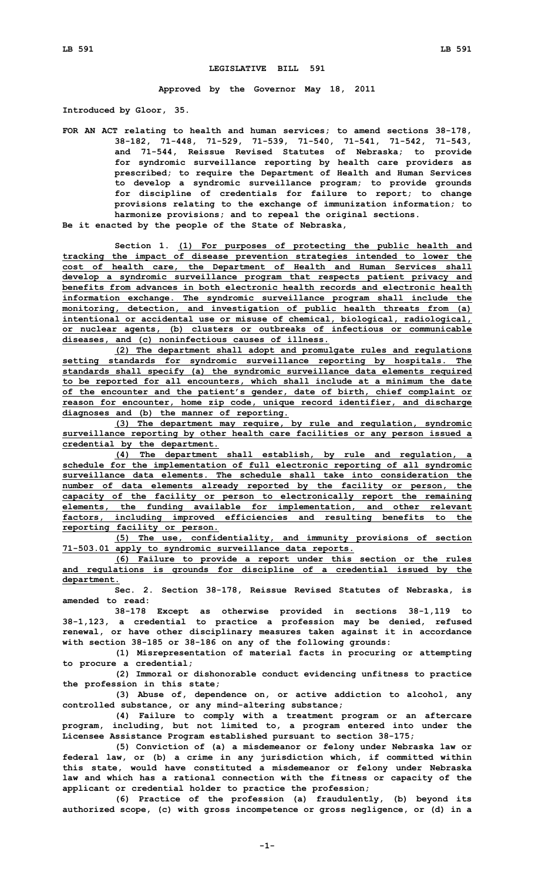## **LEGISLATIVE BILL 591**

**Approved by the Governor May 18, 2011**

**Introduced by Gloor, 35.**

**FOR AN ACT relating to health and human services; to amend sections 38-178, 38-182, 71-448, 71-529, 71-539, 71-540, 71-541, 71-542, 71-543, and 71-544, Reissue Revised Statutes of Nebraska; to provide for syndromic surveillance reporting by health care providers as prescribed; to require the Department of Health and Human Services to develop <sup>a</sup> syndromic surveillance program; to provide grounds for discipline of credentials for failure to report; to change provisions relating to the exchange of immunization information; to harmonize provisions; and to repeal the original sections. Be it enacted by the people of the State of Nebraska,**

**Section 1. (1) For purposes of protecting the public health and tracking the impact of disease prevention strategies intended to lower the cost of health care, the Department of Health and Human Services shall develop <sup>a</sup> syndromic surveillance program that respects patient privacy and benefits from advances in both electronic health records and electronic health information exchange. The syndromic surveillance program shall include the monitoring, detection, and investigation of public health threats from (a) intentional or accidental use or misuse of chemical, biological, radiological, or nuclear agents, (b) clusters or outbreaks of infectious or communicable diseases, and (c) noninfectious causes of illness.**

**(2) The department shall adopt and promulgate rules and regulations setting standards for syndromic surveillance reporting by hospitals. The standards shall specify (a) the syndromic surveillance data elements required to be reported for all encounters, which shall include at <sup>a</sup> minimum the date of the encounter and the patient's gender, date of birth, chief complaint or reason for encounter, home zip code, unique record identifier, and discharge diagnoses and (b) the manner of reporting.**

**(3) The department may require, by rule and regulation, syndromic surveillance reporting by other health care facilities or any person issued <sup>a</sup> credential by the department.**

**(4) The department shall establish, by rule and regulation, <sup>a</sup> schedule for the implementation of full electronic reporting of all syndromic surveillance data elements. The schedule shall take into consideration the number of data elements already reported by the facility or person, the capacity of the facility or person to electronically report the remaining elements, the funding available for implementation, and other relevant factors, including improved efficiencies and resulting benefits to the reporting facility or person.**

**(5) The use, confidentiality, and immunity provisions of section 71-503.01 apply to syndromic surveillance data reports.**

**(6) Failure to provide <sup>a</sup> report under this section or the rules and regulations is grounds for discipline of <sup>a</sup> credential issued by the department.**

**Sec. 2. Section 38-178, Reissue Revised Statutes of Nebraska, is amended to read:**

**38-178 Except as otherwise provided in sections 38-1,119 to 38-1,123, <sup>a</sup> credential to practice <sup>a</sup> profession may be denied, refused renewal, or have other disciplinary measures taken against it in accordance with section 38-185 or 38-186 on any of the following grounds:**

**(1) Misrepresentation of material facts in procuring or attempting to procure <sup>a</sup> credential;**

**(2) Immoral or dishonorable conduct evidencing unfitness to practice the profession in this state;**

**(3) Abuse of, dependence on, or active addiction to alcohol, any controlled substance, or any mind-altering substance;**

**(4) Failure to comply with <sup>a</sup> treatment program or an aftercare program, including, but not limited to, <sup>a</sup> program entered into under the Licensee Assistance Program established pursuant to section 38-175;**

**(5) Conviction of (a) <sup>a</sup> misdemeanor or felony under Nebraska law or federal law, or (b) <sup>a</sup> crime in any jurisdiction which, if committed within this state, would have constituted <sup>a</sup> misdemeanor or felony under Nebraska law and which has <sup>a</sup> rational connection with the fitness or capacity of the applicant or credential holder to practice the profession;**

**(6) Practice of the profession (a) fraudulently, (b) beyond its authorized scope, (c) with gross incompetence or gross negligence, or (d) in <sup>a</sup>**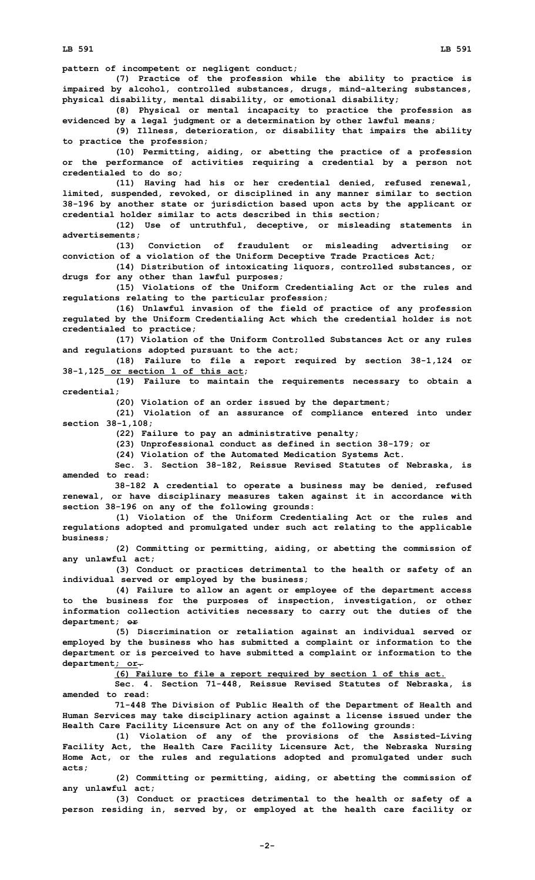**pattern of incompetent or negligent conduct;**

**(7) Practice of the profession while the ability to practice is impaired by alcohol, controlled substances, drugs, mind-altering substances, physical disability, mental disability, or emotional disability;**

**(8) Physical or mental incapacity to practice the profession as evidenced by <sup>a</sup> legal judgment or <sup>a</sup> determination by other lawful means;**

**(9) Illness, deterioration, or disability that impairs the ability to practice the profession;**

**(10) Permitting, aiding, or abetting the practice of <sup>a</sup> profession or the performance of activities requiring <sup>a</sup> credential by <sup>a</sup> person not credentialed to do so;**

**(11) Having had his or her credential denied, refused renewal, limited, suspended, revoked, or disciplined in any manner similar to section 38-196 by another state or jurisdiction based upon acts by the applicant or credential holder similar to acts described in this section;**

**(12) Use of untruthful, deceptive, or misleading statements in advertisements;**

**(13) Conviction of fraudulent or misleading advertising or conviction of <sup>a</sup> violation of the Uniform Deceptive Trade Practices Act;**

**(14) Distribution of intoxicating liquors, controlled substances, or drugs for any other than lawful purposes;**

**(15) Violations of the Uniform Credentialing Act or the rules and regulations relating to the particular profession;**

**(16) Unlawful invasion of the field of practice of any profession regulated by the Uniform Credentialing Act which the credential holder is not credentialed to practice;**

**(17) Violation of the Uniform Controlled Substances Act or any rules and regulations adopted pursuant to the act;**

**(18) Failure to file <sup>a</sup> report required by section 38-1,124 or 38-1,125 or section 1 of this act;**

**(19) Failure to maintain the requirements necessary to obtain <sup>a</sup> credential;**

**(20) Violation of an order issued by the department;**

**(21) Violation of an assurance of compliance entered into under section 38-1,108;**

**(22) Failure to pay an administrative penalty;**

**(23) Unprofessional conduct as defined in section 38-179; or**

**(24) Violation of the Automated Medication Systems Act.**

**Sec. 3. Section 38-182, Reissue Revised Statutes of Nebraska, is amended to read:**

**38-182 <sup>A</sup> credential to operate <sup>a</sup> business may be denied, refused renewal, or have disciplinary measures taken against it in accordance with section 38-196 on any of the following grounds:**

**(1) Violation of the Uniform Credentialing Act or the rules and regulations adopted and promulgated under such act relating to the applicable business;**

**(2) Committing or permitting, aiding, or abetting the commission of any unlawful act;**

**(3) Conduct or practices detrimental to the health or safety of an individual served or employed by the business;**

**(4) Failure to allow an agent or employee of the department access to the business for the purposes of inspection, investigation, or other information collection activities necessary to carry out the duties of the department; or**

**(5) Discrimination or retaliation against an individual served or employed by the business who has submitted <sup>a</sup> complaint or information to the department or is perceived to have submitted <sup>a</sup> complaint or information to the department; or.**

**(6) Failure to file <sup>a</sup> report required by section 1 of this act.**

**Sec. 4. Section 71-448, Reissue Revised Statutes of Nebraska, is amended to read:**

**71-448 The Division of Public Health of the Department of Health and Human Services may take disciplinary action against <sup>a</sup> license issued under the Health Care Facility Licensure Act on any of the following grounds:**

**(1) Violation of any of the provisions of the Assisted-Living Facility Act, the Health Care Facility Licensure Act, the Nebraska Nursing Home Act, or the rules and regulations adopted and promulgated under such acts;**

**(2) Committing or permitting, aiding, or abetting the commission of any unlawful act;**

**(3) Conduct or practices detrimental to the health or safety of <sup>a</sup> person residing in, served by, or employed at the health care facility or**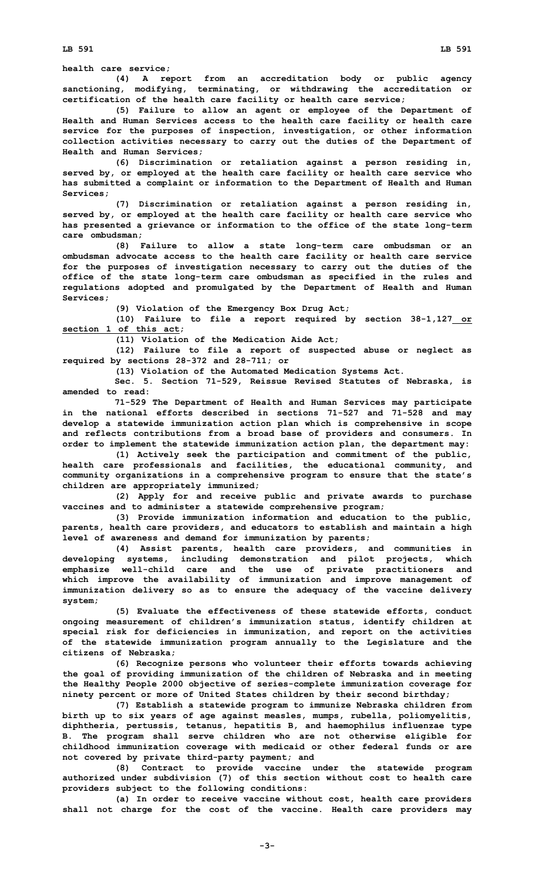**LB 591 LB 591**

**health care service;**

**(4) <sup>A</sup> report from an accreditation body or public agency sanctioning, modifying, terminating, or withdrawing the accreditation or certification of the health care facility or health care service;**

**(5) Failure to allow an agent or employee of the Department of Health and Human Services access to the health care facility or health care service for the purposes of inspection, investigation, or other information collection activities necessary to carry out the duties of the Department of Health and Human Services;**

**(6) Discrimination or retaliation against <sup>a</sup> person residing in, served by, or employed at the health care facility or health care service who has submitted <sup>a</sup> complaint or information to the Department of Health and Human Services;**

**(7) Discrimination or retaliation against <sup>a</sup> person residing in, served by, or employed at the health care facility or health care service who has presented <sup>a</sup> grievance or information to the office of the state long-term care ombudsman;**

**(8) Failure to allow <sup>a</sup> state long-term care ombudsman or an ombudsman advocate access to the health care facility or health care service for the purposes of investigation necessary to carry out the duties of the office of the state long-term care ombudsman as specified in the rules and regulations adopted and promulgated by the Department of Health and Human Services;**

**(9) Violation of the Emergency Box Drug Act;**

**(10) Failure to file <sup>a</sup> report required by section 38-1,127 or section 1 of this act;**

**(11) Violation of the Medication Aide Act;**

**(12) Failure to file <sup>a</sup> report of suspected abuse or neglect as required by sections 28-372 and 28-711; or**

**(13) Violation of the Automated Medication Systems Act.**

**Sec. 5. Section 71-529, Reissue Revised Statutes of Nebraska, is amended to read:**

**71-529 The Department of Health and Human Services may participate in the national efforts described in sections 71-527 and 71-528 and may develop <sup>a</sup> statewide immunization action plan which is comprehensive in scope and reflects contributions from <sup>a</sup> broad base of providers and consumers. In order to implement the statewide immunization action plan, the department may:**

**(1) Actively seek the participation and commitment of the public, health care professionals and facilities, the educational community, and community organizations in <sup>a</sup> comprehensive program to ensure that the state's children are appropriately immunized;**

**(2) Apply for and receive public and private awards to purchase vaccines and to administer <sup>a</sup> statewide comprehensive program;**

**(3) Provide immunization information and education to the public, parents, health care providers, and educators to establish and maintain <sup>a</sup> high level of awareness and demand for immunization by parents;**

**(4) Assist parents, health care providers, and communities in developing systems, including demonstration and pilot projects, which emphasize well-child care and the use of private practitioners and which improve the availability of immunization and improve management of immunization delivery so as to ensure the adequacy of the vaccine delivery system;**

**(5) Evaluate the effectiveness of these statewide efforts, conduct ongoing measurement of children's immunization status, identify children at special risk for deficiencies in immunization, and report on the activities of the statewide immunization program annually to the Legislature and the citizens of Nebraska;**

**(6) Recognize persons who volunteer their efforts towards achieving the goal of providing immunization of the children of Nebraska and in meeting the Healthy People 2000 objective of series-complete immunization coverage for ninety percent or more of United States children by their second birthday;**

**(7) Establish <sup>a</sup> statewide program to immunize Nebraska children from birth up to six years of age against measles, mumps, rubella, poliomyelitis, diphtheria, pertussis, tetanus, hepatitis B, and haemophilus influenzae type B. The program shall serve children who are not otherwise eligible for childhood immunization coverage with medicaid or other federal funds or are not covered by private third-party payment; and**

**(8) Contract to provide vaccine under the statewide program authorized under subdivision (7) of this section without cost to health care providers subject to the following conditions:**

**(a) In order to receive vaccine without cost, health care providers shall not charge for the cost of the vaccine. Health care providers may**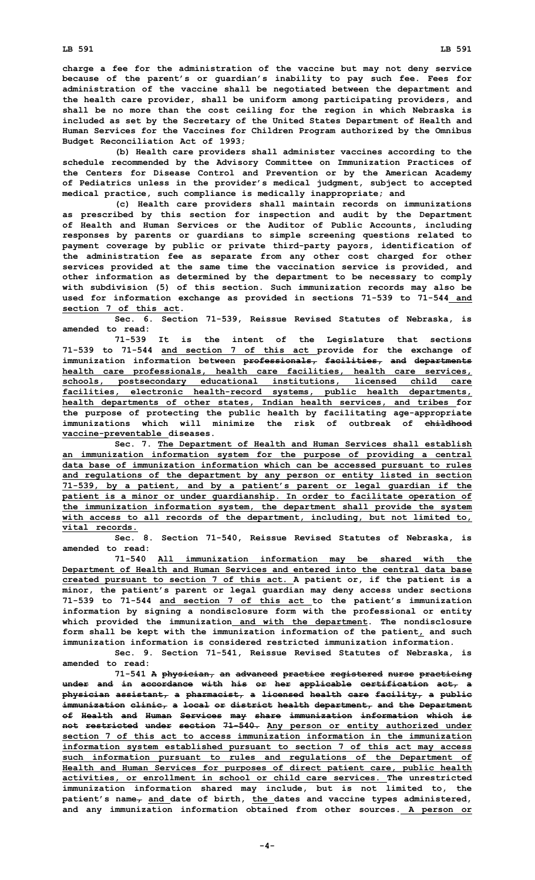**charge <sup>a</sup> fee for the administration of the vaccine but may not deny service because of the parent's or guardian's inability to pay such fee. Fees for administration of the vaccine shall be negotiated between the department and the health care provider, shall be uniform among participating providers, and shall be no more than the cost ceiling for the region in which Nebraska is included as set by the Secretary of the United States Department of Health and Human Services for the Vaccines for Children Program authorized by the Omnibus Budget Reconciliation Act of 1993;**

**(b) Health care providers shall administer vaccines according to the schedule recommended by the Advisory Committee on Immunization Practices of the Centers for Disease Control and Prevention or by the American Academy of Pediatrics unless in the provider's medical judgment, subject to accepted medical practice, such compliance is medically inappropriate; and**

**(c) Health care providers shall maintain records on immunizations as prescribed by this section for inspection and audit by the Department of Health and Human Services or the Auditor of Public Accounts, including responses by parents or guardians to simple screening questions related to payment coverage by public or private third-party payors, identification of the administration fee as separate from any other cost charged for other services provided at the same time the vaccination service is provided, and other information as determined by the department to be necessary to comply with subdivision (5) of this section. Such immunization records may also be used for information exchange as provided in sections 71-539 to 71-544 and section 7 of this act.**

**Sec. 6. Section 71-539, Reissue Revised Statutes of Nebraska, is amended to read:**

**71-539 It is the intent of the Legislature that sections 71-539 to 71-544 and section 7 of this act provide for the exchange of immunization information between professionals, facilities, and departments health care professionals, health care facilities, health care services, schools, postsecondary educational institutions, licensed child care facilities, electronic health-record systems, public health departments, health departments of other states, Indian health services, and tribes for the purpose of protecting the public health by facilitating age-appropriate immunizations which will minimize the risk of outbreak of childhood vaccine-preventable diseases.**

**Sec. 7. The Department of Health and Human Services shall establish an immunization information system for the purpose of providing <sup>a</sup> central data base of immunization information which can be accessed pursuant to rules and regulations of the department by any person or entity listed in section 71-539, by <sup>a</sup> patient, and by <sup>a</sup> patient's parent or legal guardian if the patient is <sup>a</sup> minor or under guardianship. In order to facilitate operation of the immunization information system, the department shall provide the system with access to all records of the department, including, but not limited to, vital records.**

**Sec. 8. Section 71-540, Reissue Revised Statutes of Nebraska, is amended to read:**

**71-540 All immunization information may be shared with the Department of Health and Human Services and entered into the central data base created pursuant to section 7 of this act. A patient or, if the patient is <sup>a</sup> minor, the patient's parent or legal guardian may deny access under sections 71-539 to 71-544 and section 7 of this act to the patient's immunization information by signing <sup>a</sup> nondisclosure form with the professional or entity which provided the immunization and with the department. The nondisclosure form shall be kept with the immunization information of the patient, and such immunization information is considered restricted immunization information.**

**Sec. 9. Section 71-541, Reissue Revised Statutes of Nebraska, is amended to read:**

**71-541 <sup>A</sup> physician, an advanced practice registered nurse practicing under and in accordance with his or her applicable certification act, <sup>a</sup> physician assistant, <sup>a</sup> pharmacist, <sup>a</sup> licensed health care facility, <sup>a</sup> public immunization clinic, <sup>a</sup> local or district health department, and the Department of Health and Human Services may share immunization information which is not restricted under section 71-540. Any person or entity authorized under section 7 of this act to access immunization information in the immunization information system established pursuant to section 7 of this act may access such information pursuant to rules and regulations of the Department of Health and Human Services for purposes of direct patient care, public health activities, or enrollment in school or child care services. The unrestricted immunization information shared may include, but is not limited to, the patient's name, and date of birth, the dates and vaccine types administered, and any immunization information obtained from other sources. A person or**